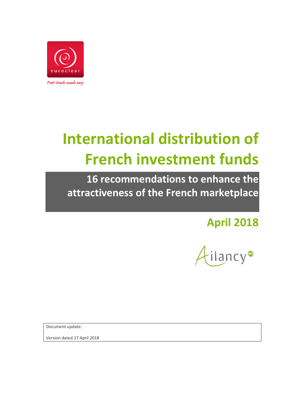

# **International distribution of French investment funds**

**16 recommendations to enhance the attractiveness of the French marketplace**

**April 2018**



Document update:

Version dated 17 April 2018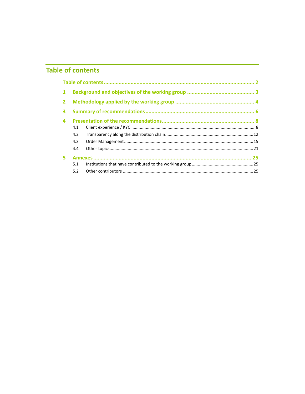## **Table of contents**

| $\mathbf{1}$ |     |  |
|--------------|-----|--|
| $2^{\circ}$  |     |  |
| 3            |     |  |
| 4            |     |  |
|              | 4.1 |  |
|              | 4.2 |  |
|              | 4.3 |  |
|              | 4.4 |  |
| 5.           |     |  |
|              | 5.1 |  |
|              | 5.2 |  |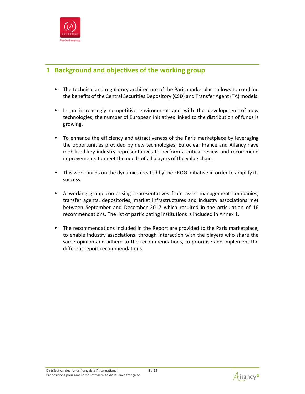

## **1 Background and objectives of the working group**

- ▸ The technical and regulatory architecture of the Paris marketplace allows to combine the benefits of the Central Securities Depository (CSD) and Transfer Agent (TA) models.
- ▸ In an increasingly competitive environment and with the development of new technologies, the number of European initiatives linked to the distribution of funds is growing.
- ▸ To enhance the efficiency and attractiveness of the Paris marketplace by leveraging the opportunities provided by new technologies, Euroclear France and Ailancy have mobilised key industry representatives to perform a critical review and recommend improvements to meet the needs of all players of the value chain.
- ▸ This work builds on the dynamics created by the FROG initiative in order to amplify its success.
- ▸ A working group comprising representatives from asset management companies, transfer agents, depositories, market infrastructures and industry associations met between September and December 2017 which resulted in the articulation of 16 recommendations. The list of participating institutions is included in Annex 1.
- $\blacktriangleright$  The recommendations included in the Report are provided to the Paris marketplace, to enable industry associations, through interaction with the players who share the same opinion and adhere to the recommendations, to prioritise and implement the different report recommendations.



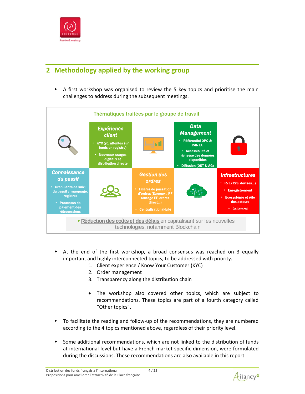

## **2 Methodology applied by the working group**

▸ A first workshop was organised to review the 5 key topics and prioritise the main challenges to address during the subsequent meetings.



- ▸ At the end of the first workshop, a broad consensus was reached on 3 equally important and highly interconnected topics, to be addressed with priority.
	- 1. Client experience / Know Your Customer (KYC)
	- 2. Order management
	- 3. Transparency along the distribution chain
	- The workshop also covered other topics, which are subject to recommendations. These topics are part of a fourth category called "Other topics".
- ▸ To facilitate the reading and follow‐up of the recommendations, they are numbered according to the 4 topics mentioned above, regardless of their priority level.
- ▸ Some additional recommendations, which are not linked to the distribution of funds at international level but have a French market specific dimension, were formulated during the discussions. These recommendations are also available in this report.

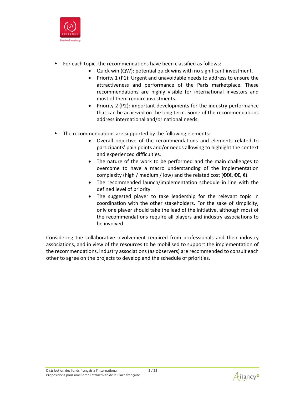

- ▸ For each topic, the recommendations have been classified as follows:
	- Quick win (QW): potential quick wins with no significant investment.
	- Priority 1 (P1): Urgent and unavoidable needs to address to ensure the attractiveness and performance of the Paris marketplace. These recommendations are highly visible for international investors and most of them require investments.
	- Priority 2 (P2): important developments for the industry performance that can be achieved on the long term. Some of the recommendations address international and/or national needs.
- ▸ The recommendations are supported by the following elements:
	- Overall objective of the recommendations and elements related to participants' pain points and/or needs allowing to highlight the context and experienced difficulties.
	- The nature of the work to be performed and the main challenges to overcome to have a macro understanding of the implementation complexity (high / medium / low) and the related cost ( $\epsilon \epsilon \epsilon, \epsilon$ ).
	- The recommended launch/implementation schedule in line with the defined level of priority.
	- The suggested player to take leadership for the relevant topic in coordination with the other stakeholders. For the sake of simplicity, only one player should take the lead of the initiative, although most of the recommendations require all players and industry associations to be involved.

Considering the collaborative involvement required from professionals and their industry associations, and in view of the resources to be mobilised to support the implementation of the recommendations, industry associations (as observers) are recommended to consult each other to agree on the projects to develop and the schedule of priorities.



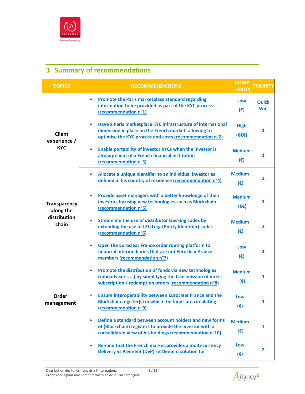

## **3 Summary of recommendations**

| <b>TOPICS</b>                 | <b>RECOMMENDATIONS</b>                                                                                                                                                                       | <b>COMP-</b><br><b>LEXITY</b>                 | <b>PRIORITY</b>            |
|-------------------------------|----------------------------------------------------------------------------------------------------------------------------------------------------------------------------------------------|-----------------------------------------------|----------------------------|
|                               | Promote the Paris marketplace standard regarding<br>$\bullet$<br>information to be provided as part of the KYC process<br>(recommendation n°1)                                               | Low<br>$(\epsilon)$                           | <b>Quick</b><br><b>Win</b> |
| <b>Client</b><br>experience / | Have a Paris marketplace KYC infrastructure of international<br>$\bullet$<br>dimension in place on the French market, allowing to<br>optimise the KYC process and costs (recommendation n°2) | <b>High</b><br>$(\epsilon \epsilon \epsilon)$ | 1                          |
| <b>KYC</b>                    | Enable portability of investor KYCs when the investor is<br>already client of a French financial institution<br>(recommendation n°3)                                                         | <b>Medium</b><br>$(\epsilon)$                 | 1                          |
|                               | Allocate a unique identifier to an individual investor as<br>defined in his country of residence (recommendation n°4)                                                                        | <b>Medium</b><br>$(\epsilon)$                 | $\overline{2}$             |
| Transparency<br>along the     | Provide asset managers with a better knowledge of their<br>$\bullet$<br>investors by using new technologies such as Blockchain<br>(recommendation n°5)                                       | <b>Medium</b><br>$(\epsilon \epsilon)$        | 1                          |
| distribution<br>chain         | Streamline the use of distributor tracking codes by<br>extending the use of LEI (Legal Entity Identifier) codes<br>(recommendation n°6)                                                      | <b>Medium</b><br>$(\epsilon)$                 | 2                          |
|                               | Open the Euroclear France order routing platform to<br>$\bullet$<br>financial intermediaries that are not Euroclear France<br>members (recommendation n°7)                                   | Low<br>$(\epsilon)$                           | $\mathbf{1}$               |
|                               | Promote the distribution of funds via new technologies<br>$\bullet$<br>(roboadvisors, ) by simplifying the transmission of direct<br>subscription / redemption orders (recommendation n°8)   | <b>Medium</b><br>$(\epsilon)$                 | 1                          |
| Order<br>management           | <b>Ensure interoperability between Euroclear France and the</b><br>Blockchain register(s) in which the funds are circulating<br>(recommendation n°9)                                         | Low<br>$(\epsilon)$                           |                            |
|                               | Define a standard between account holders and new forms<br>of (Blockchain) registers to provide the investor with a<br>consolidated view of his holdings (recommendation n°10)               | <b>Medium</b><br>$(\epsilon)$                 | 1                          |
|                               | Remind that the French market provides a multi-currency<br>Delivery vs Payment (DvP) settlement solution for                                                                                 | Low<br>$(\epsilon)$                           | $\mathbf{2}$               |

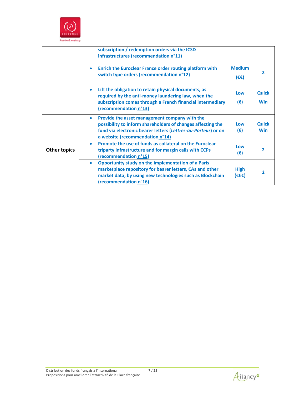

|                     | subscription / redemption orders via the ICSD<br>infrastructures (recommendation n°11)                                                                                                                                        |                                        |                     |
|---------------------|-------------------------------------------------------------------------------------------------------------------------------------------------------------------------------------------------------------------------------|----------------------------------------|---------------------|
|                     | Enrich the Euroclear France order routing platform with<br>$\bullet$<br>switch type orders (recommendation n°12)                                                                                                              | <b>Medium</b><br>$(\epsilon \epsilon)$ | 2                   |
|                     | Lift the obligation to retain physical documents, as<br>$\bullet$<br>required by the anti-money laundering law, when the<br>subscription comes through a French financial intermediary<br>(recommendation n°13)               | Low<br>$(\epsilon)$                    | Quick<br><b>Win</b> |
|                     | Provide the asset management company with the<br>$\bullet$<br>possibility to inform shareholders of changes affecting the<br>fund via electronic bearer letters (Lettres-au-Porteur) or on<br>a website (recommendation n°14) | Low<br>$(\epsilon)$                    | Quick<br><b>Win</b> |
| <b>Other topics</b> | Promote the use of funds as collateral on the Euroclear<br>۰<br>triparty infrastructure and for margin calls with CCPs<br>(recommendation n°15)                                                                               | Low<br>(€)                             | 2                   |
|                     | <b>Opportunity study on the implementation of a Paris</b><br>۰<br>marketplace repository for bearer letters, CAs and other<br>market data, by using new technologies such as Blockchain<br>(recommendation n°16)              | <b>High</b><br>(€€€)                   | 2                   |

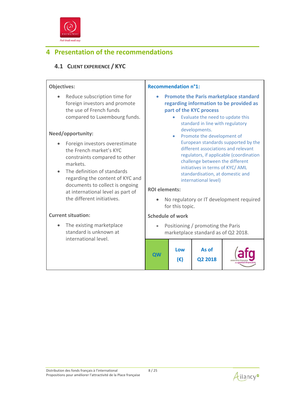

## **4 Presentation of the recommendations**

### **4.1 CLIENT EXPERIENCE / KYC**

#### **Objectives:** • Reduce subscription time for foreign investors and promote the use of French funds compared to Luxembourg funds. **Need/opportunity:**  • Foreign investors overestimate the French market's KYC constraints compared to other markets. • The definition of standards regarding the content of KYC and documents to collect is ongoing at international level as part of the different initiatives. **Current situation:** • The existing marketplace standard is unknown at international level. **Recommendation n°1: Promote the Paris marketplace standard regarding information to be provided as part of the KYC process** • Evaluate the need to update this standard in line with regulatory developments. • Promote the development of European standards supported by the different associations and relevant regulators, if applicable (coordination challenge between the different initiatives in terms of KYC/ AML standardisation, at domestic and international level) **ROI elements:** No regulatory or IT development required for this topic. **Schedule of work** Positioning / promoting the Paris marketplace standard as of Q2 2018. **QW Low (€) As of Q2 2018**

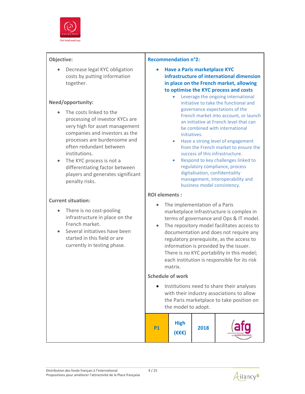

• Decrease legal KYC obligation costs by putting information together.

#### **Need/opportunity:**

- The costs linked to the processing of investor KYCs are very high for asset management companies and investors as the processes are burdensome and often redundant between institutions.
- The KYC process is not a differentiating factor between players and generates significant penalty risks.

#### **Current situation:**

- There is no cost-pooling infrastructure in place on the French market.
- Several initiatives have been started in this field or are currently in testing phase.

#### **Recommendation n°2:**

- **Have a Paris marketplace KYC infrastructure of international dimension in place on the French market, allowing to optimise the KYC process and costs**
	- Leverage the ongoing international initiative to take the functional and governance expectations of the French market into account, or launch an initiative at French level that can be combined with international initiatives.
	- Have a strong level of engagement from the French market to ensure the success of this infrastructure.
	- Respond to key challenges linked to regulatory compliance, process digitalisation, confidentiality management, interoperability and business model consistency.

#### **ROI elements :**

- The implementation of a Paris marketplace infrastructure is complex in terms of governance and Ops & IT model.
- The repository model facilitates access to documentation and does not require any regulatory prerequisite, as the access to information is provided by the issuer. There is no KYC portability in this model; each institution is responsible for its risk matrix.

#### **Schedule of work**

• Institutions need to share their analyses with their industry associations to allow the Paris marketplace to take position on the model to adopt.

| D1 |
|----|
|----|

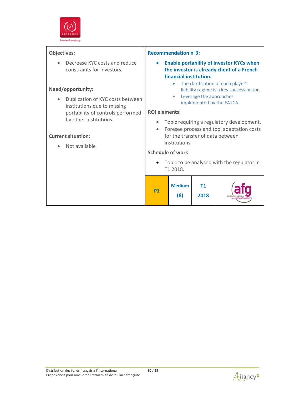

| <b>Objectives:</b>                                                                                                                                  | <b>Recommendation n°3:</b>                                                                                                                                                                                                                                                      |  |  |
|-----------------------------------------------------------------------------------------------------------------------------------------------------|---------------------------------------------------------------------------------------------------------------------------------------------------------------------------------------------------------------------------------------------------------------------------------|--|--|
| Decrease KYC costs and reduce<br>constraints for investors.<br>Need/opportunity:<br>Duplication of KYC costs between<br>institutions due to missing | <b>Enable portability of investor KYCs when</b><br>$\bullet$<br>the investor is already client of a French<br>financial institution.<br>The clarification of each player's<br>liability regime is a key success factor.<br>Leverage the approaches<br>implemented by the FATCA. |  |  |
| portability of controls performed                                                                                                                   | <b>ROI</b> elements:                                                                                                                                                                                                                                                            |  |  |
| by other institutions.<br><b>Current situation:</b><br>Not available                                                                                | Topic requiring a regulatory development.<br>$\bullet$<br>Foresee process and tool adaptation costs<br>$\bullet$<br>for the transfer of data between<br>institutions.                                                                                                           |  |  |
|                                                                                                                                                     | <b>Schedule of work</b>                                                                                                                                                                                                                                                         |  |  |
|                                                                                                                                                     | Topic to be analysed with the regulator in<br>T1 2018.                                                                                                                                                                                                                          |  |  |
|                                                                                                                                                     | <b>Medium</b><br><b>T1</b><br>P1<br>(€)<br>2018                                                                                                                                                                                                                                 |  |  |



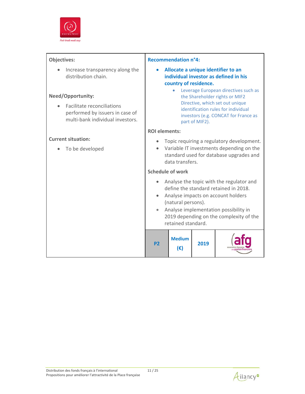

| Objectives:                                                                                       | <b>Recommendation n°4:</b>                                                                                                                                                                                                                              |
|---------------------------------------------------------------------------------------------------|---------------------------------------------------------------------------------------------------------------------------------------------------------------------------------------------------------------------------------------------------------|
| Increase transparency along the<br>distribution chain.                                            | Allocate a unique identifier to an<br>individual investor as defined in his<br>country of residence.<br>Leverage European directives such as<br>$\bullet$                                                                                               |
| <b>Need/Opportunity:</b>                                                                          | the Shareholder rights or MIF2                                                                                                                                                                                                                          |
| Facilitate reconciliations<br>performed by issuers in case of<br>multi-bank individual investors. | Directive, which set out unique<br>identification rules for individual<br>investors (e.g. CONCAT for France as<br>part of MIF2).                                                                                                                        |
|                                                                                                   | <b>ROI elements:</b>                                                                                                                                                                                                                                    |
| <b>Current situation:</b>                                                                         | Topic requiring a regulatory development.                                                                                                                                                                                                               |
| To be developed                                                                                   | Variable IT investments depending on the<br>standard used for database upgrades and<br>data transfers.                                                                                                                                                  |
|                                                                                                   | <b>Schedule of work</b>                                                                                                                                                                                                                                 |
|                                                                                                   | Analyse the topic with the regulator and<br>define the standard retained in 2018.<br>Analyse impacts on account holders<br>(natural persons).<br>Analyse implementation possibility in<br>2019 depending on the complexity of the<br>retained standard. |
|                                                                                                   | <b>Medium</b><br>2019<br>P <sub>2</sub><br>$(\epsilon)$                                                                                                                                                                                                 |

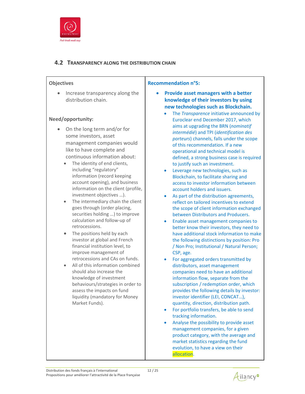

#### **4.2 TRANSPARENCY ALONG THE DISTRIBUTION CHAIN**

#### **Objectives**

• Increase transparency along the distribution chain.

#### **Need/opportunity:**

- On the long term and/or for some investors, asset management companies would like to have complete and continuous information about:
	- The identity of end clients, including "regulatory" information (record keeping account opening), and business information on the client (profile, investment objectives …).
	- The intermediary chain the client goes through (order placing, securities holding …) to improve calculation and follow‐up of retrocessions.
	- The positions held by each investor at global and French financial institution level, to improve management of retrocessions and CAs on funds.
	- All of this information combined should also increase the knowledge of investment behaviours/strategies in order to assess the impacts on fund liquidity (mandatory for Money Market Funds).

#### **Recommendation n°5:**

- **Provide asset managers with a better knowledge of their investors by using new technologies such as Blockchain.** 
	- The *Transparence* initiative announced by Euroclear end December 2017, which aims at upgrading the BRN (*nominatif intermédié*) and TPI (*identification des porteurs*) channels, falls under the scope of this recommendation. If a new operational and technical model is defined, a strong business case is required to justify such an investment.
	- Leverage new technologies, such as Blockchain, to facilitate sharing and access to investor information between account holders and issuers.
	- As part of the distribution agreements, reflect on tailored incentives to extend the scope of client information exchanged between Distributors and Producers.
	- Enable asset management companies to better know their investors, they need to have additional stock information to make the following distinctions by position: Pro / Non Pro; Institutional / Natural Person; CSP, age.
	- For aggregated orders transmitted by distributors, asset management companies need to have an additional information flow, separate from the subscription / redemption order, which provides the following details by investor: investor identifier (LEI, CONCAT…), quantity, direction, distribution path.
	- For portfolio transfers, be able to send tracking information.
	- Analyse the possibility to provide asset management companies, for a given product category, with the average and market statistics regarding the fund evolution, to have a view on their allocation.

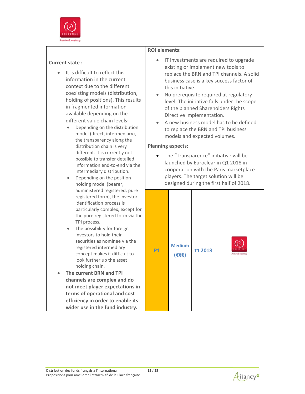

#### **Current state :**

- $\bullet$  It is difficult to reflect this information in the current context due to the different coexisting models (distribution, holding of positions). This results in fragmented information available depending on the different value chain levels:
	- Depending on the distribution model (direct, intermediary), the transparency along the distribution chain is very different. It is currently not possible to transfer detailed information end‐to‐end via the intermediary distribution.
	- Depending on the position holding model (bearer, administered registered, pure registered form), the investor identification process is particularly complex, except for the pure registered form via the TPI process.
	- The possibility for foreign investors to hold their securities as nominee via the registered intermediary concept makes it difficult to look further up the asset holding chain.
- **The current BRN and TPI channels are complex and do not meet player expectations in terms of operational and cost efficiency in order to enable its wider use in the fund industry.**

#### **ROI elements:**

- IT investments are required to upgrade existing or implement new tools to replace the BRN and TPI channels. A solid business case is a key success factor of this initiative.
- No prerequisite required at regulatory level. The initiative falls under the scope of the planned Shareholders Rights Directive implementation.
- A new business model has to be defined to replace the BRN and TPI business models and expected volumes.

#### **Planning aspects:**

• The "Transparence" initiative will be launched by Euroclear in Q1 2018 in cooperation with the Paris marketplace players. The target solution will be designed during the first half of 2018.



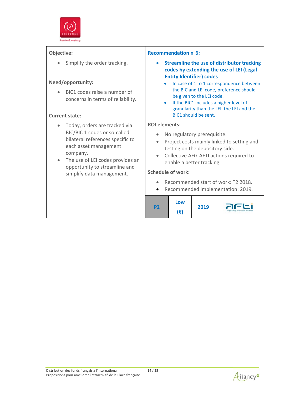

• Simplify the order tracking.

#### **Need/opportunity:**

 BIC1 codes raise a number of concerns in terms of reliability.

#### **Current state:**

- Today, orders are tracked via BIC/BIC 1 codes or so‐called bilateral references specific to each asset management company.
- The use of LEI codes provides an opportunity to streamline and simplify data management.

#### **Recommendation n°6:**

- **Streamline the use of distributor tracking codes by extending the use of LEI (Legal Entity Identifier) codes**
	- In case of 1 to 1 correspondence between the BIC and LEI code, preference should be given to the LEI code.
	- **•** If the BIC1 includes a higher level of granularity than the LEI, the LEI and the BIC1 should be sent.

#### **ROI elements:**

- No regulatory prerequisite.
- Project costs mainly linked to setting and testing on the depository side.
- Collective AFG-AFTI actions required to enable a better tracking.

#### **Schedule of work:**

- Recommended start of work: T2 2018.
- Recommended implementation: 2019.

| n To | Low<br>۱€۱ | 2019 | La dynamique du post-marché |
|------|------------|------|-----------------------------|
|------|------------|------|-----------------------------|

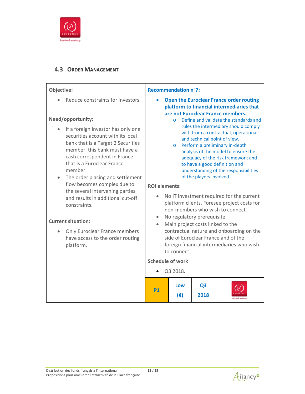

## **4.3 ORDER MANAGEMENT**

| Objective:                                                                                                                                                                                                                                                                                                                                                                                              | <b>Recommendation n°7:</b>                                                                                                                                                                                                                                                                                                                                                                                                                                                                                                                                                                                                               |                     |                        |                                                                                                                                  |
|---------------------------------------------------------------------------------------------------------------------------------------------------------------------------------------------------------------------------------------------------------------------------------------------------------------------------------------------------------------------------------------------------------|------------------------------------------------------------------------------------------------------------------------------------------------------------------------------------------------------------------------------------------------------------------------------------------------------------------------------------------------------------------------------------------------------------------------------------------------------------------------------------------------------------------------------------------------------------------------------------------------------------------------------------------|---------------------|------------------------|----------------------------------------------------------------------------------------------------------------------------------|
| Reduce constraints for investors.                                                                                                                                                                                                                                                                                                                                                                       |                                                                                                                                                                                                                                                                                                                                                                                                                                                                                                                                                                                                                                          |                     |                        | <b>Open the Euroclear France order routing</b><br>platform to financial intermediaries that<br>are not Euroclear France members. |
| Need/opportunity:<br>If a foreign investor has only one<br>securities account with its local<br>bank that is a Target 2 Securities<br>member, this bank must have a<br>cash correspondent in France<br>that is a Euroclear France<br>member.<br>The order placing and settlement<br>flow becomes complex due to<br>the several intervening parties<br>and results in additional cut-off<br>constraints. | Define and validate the standards and<br>$\circ$<br>rules the intermediary should comply<br>with from a contractual, operational<br>and technical point of view.<br>Perform a preliminary in-depth<br>$\circ$<br>analysis of the model to ensure the<br>adequacy of the risk framework and<br>to have a good definition and<br>understanding of the responsibilities<br>of the players involved.<br><b>ROI</b> elements:<br>No IT investment required for the current<br>platform clients. Foresee project costs for<br>non-members who wish to connect.<br>No regulatory prerequisite.<br>Main project costs linked to the<br>$\bullet$ |                     |                        |                                                                                                                                  |
| <b>Current situation:</b>                                                                                                                                                                                                                                                                                                                                                                               |                                                                                                                                                                                                                                                                                                                                                                                                                                                                                                                                                                                                                                          |                     |                        |                                                                                                                                  |
| <b>Only Euroclear France members</b><br>have access to the order routing<br>platform.                                                                                                                                                                                                                                                                                                                   |                                                                                                                                                                                                                                                                                                                                                                                                                                                                                                                                                                                                                                          | to connect.         |                        | contractual nature and onboarding on the<br>side of Euroclear France and of the<br>foreign financial intermediaries who wish     |
|                                                                                                                                                                                                                                                                                                                                                                                                         | <b>Schedule of work</b>                                                                                                                                                                                                                                                                                                                                                                                                                                                                                                                                                                                                                  |                     |                        |                                                                                                                                  |
|                                                                                                                                                                                                                                                                                                                                                                                                         |                                                                                                                                                                                                                                                                                                                                                                                                                                                                                                                                                                                                                                          | Q3 2018.            |                        |                                                                                                                                  |
|                                                                                                                                                                                                                                                                                                                                                                                                         | P1                                                                                                                                                                                                                                                                                                                                                                                                                                                                                                                                                                                                                                       | Low<br>$(\epsilon)$ | Q <sub>3</sub><br>2018 |                                                                                                                                  |

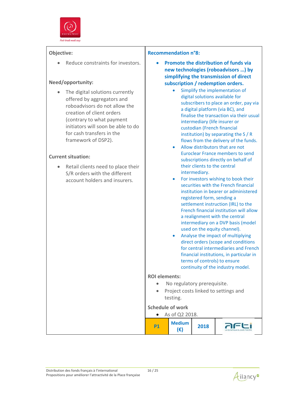

• Reduce constraints for investors.

#### **Need/opportunity:**

• The digital solutions currently offered by aggregators and roboadvisors do not allow the creation of client orders (contrary to what payment initiators will soon be able to do for cash transfers in the framework of DSP2).

#### **Current situation:**

• Retail clients need to place their S/R orders with the different account holders and insurers.

#### **Recommendation n°8:**

- **Promote the distribution of funds via new technologies (roboadvisors …) by simplifying the transmission of direct subscription / redemption orders.**
	- Simplify the implementation of digital solutions available for subscribers to place an order, pay via a digital platform (via BC), and finalise the transaction via their usual intermediary (life insurer or custodian (French financial institution) by separating the S / R flows from the delivery of the funds.
	- Allow distributors that are not Euroclear France members to send subscriptions directly on behalf of their clients to the central intermediary.
	- For investors wishing to book their securities with the French financial institution in bearer or administered registered form, sending a settlement instruction (IRL) to the French financial institution will allow a realignment with the central intermediary on a DVP basis (model used on the equity channel).
	- Analyse the impact of multiplying direct orders (scope and conditions for central intermediaries and French financial institutions, in particular in terms of controls) to ensure continuity of the industry model.

#### **ROI elements:**

- No regulatory prerequisite.
- Project costs linked to settings and testing.

#### **Schedule of work**

| As of Q2 2018. |                     |      |  |  |  |  |
|----------------|---------------------|------|--|--|--|--|
|                | <b>Medium</b><br>IЭ | 2018 |  |  |  |  |

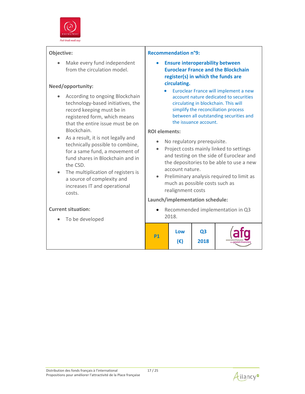

• Make every fund independent from the circulation model.

#### **Need/opportunity:**

- According to ongoing Blockchain technology‐based initiatives, the record keeping must be in registered form, which means that the entire issue must be on Blockchain.
- As a result, it is not legally and technically possible to combine, for a same fund, a movement of fund shares in Blockchain and in the CSD.
- The multiplication of registers is a source of complexity and increases IT and operational costs.

#### **Current situation:**

To be developed

#### **Recommendation n°9:**

- **Ensure interoperability between Euroclear France and the Blockchain register(s) in which the funds are circulating.**
	- **Euroclear France will implement a new** account nature dedicated to securities circulating in blockchain. This will simplify the reconciliation process between all outstanding securities and the issuance account.

#### **ROI elements:**

- No regulatory prerequisite.
- Project costs mainly linked to settings and testing on the side of Euroclear and the depositories to be able to use a new account nature.
- Preliminary analysis required to limit as much as possible costs such as realignment costs

#### **Launch/implementation schedule:**

• Recommended implementation in Q3 2018.



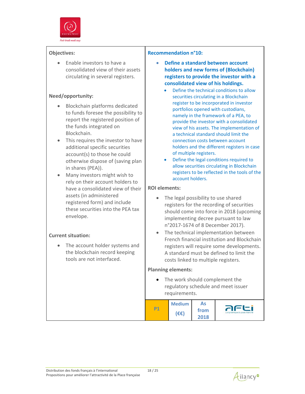

 Enable investors to have a consolidated view of their assets circulating in several registers.

#### **Need/opportunity:**

- Blockchain platforms dedicated to funds foresee the possibility to report the registered position of the funds integrated on Blockchain.
- This requires the investor to have additional specific securities account(s) to those he could otherwise dispose of (saving plan in shares (PEA)).
- Many investors might wish to rely on their account holders to have a consolidated view of their assets (in administered registered form) and include these securities into the PEA tax envelope.

#### **Current situation:**

 The account holder systems and the blockchain record keeping tools are not interfaced.

#### **Recommendation n°10:**

- **Define a standard between account holders and new forms of (Blockchain) registers to provide the investor with a consolidated view of his holdings.**
	- Define the technical conditions to allow securities circulating in a Blockchain register to be incorporated in investor portfolios opened with custodians, namely in the framework of a PEA, to provide the investor with a consolidated view of his assets. The implementation of a technical standard should limit the connection costs between account holders and the different registers in case of multiple registers.
	- Define the legal conditions required to allow securities circulating in Blockchain registers to be reflected in the tools of the account holders.

#### **ROI elements:**

- The legal possibility to use shared registers for the recording of securities should come into force in 2018 (upcoming implementing decree pursuant to law n°2017‐1674 of 8 December 2017).
- The technical implementation between French financial institution and Blockchain registers will require some developments. A standard must be defined to limit the costs linked to multiple registers.

#### **Planning elements:**

• The work should complement the regulatory schedule and meet issuer requirements.

|    | <b>Medium</b> | As   |                             |
|----|---------------|------|-----------------------------|
| P1 | <b>′€€)</b>   | from | La dynamique du post-marché |
|    |               | 2018 |                             |

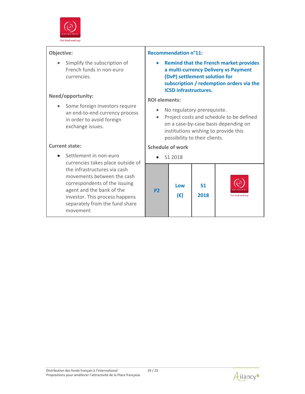

• Simplify the subscription of French funds in non‐euro currencies.

#### **Need/opportunity:**

• Some foreign investors require an end‐to‐end currency process in order to avoid foreign exchange issues.

#### **Current state:**

● Settlement in non-euro currencies takes place outside of the infrastructures via cash movements between the cash correspondents of the issuing agent and the bank of the investor. This process happens separately from the fund share movement

#### **Recommendation n°11:**

 **Remind that the French market provides a multi‐currency Delivery vs Payment (DvP) settlement solution for subscription / redemption orders via the ICSD infrastructures.**

#### **ROI elements:**

- No regulatory prerequisite.
- Project costs and schedule to be defined on a case‐by‐case basis depending on institutions wishing to provide this possibility to their clients.

#### **Schedule of work**

S1 2018

| S <sub>1</sub><br>Low<br>euroclear<br><b>P2</b><br>$(\epsilon)$<br>2018<br>Post-trade made easy |  |
|-------------------------------------------------------------------------------------------------|--|
|-------------------------------------------------------------------------------------------------|--|

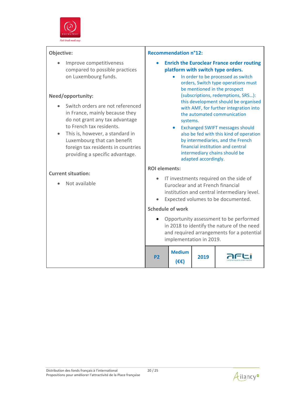

• Improve competitiveness compared to possible practices on Luxembourg funds.

#### **Need/opportunity:**

- Switch orders are not referenced in France, mainly because they do not grant any tax advantage to French tax residents.
- This is, however, a standard in Luxembourg that can benefit foreign tax residents in countries providing a specific advantage.

#### **Current situation:**

**ROI elements:** • IT investments required on the side of Not available Euroclear and at French financial institution and central intermediary level. Expected volumes to be documented. **Schedule of work** • Opportunity assessment to be performed in 2018 to identify the nature of the need and required arrangements for a potential implementation in 2019. **Medium** afti **P2 2019 (€€)**

**Recommendation n°12:** 

systems.

 **Enrich the Euroclear France order routing platform with switch type orders.** 

> • In order to be processed as switch orders, Switch type operations must be mentioned in the prospect (subscriptions, redemptions, SRS…): this development should be organised with AMF, for further integration into the automated communication

 Exchanged SWIFT messages should also be fed with this kind of operation by intermediaries, and the French financial institution and central intermediary chains should be

adapted accordingly.

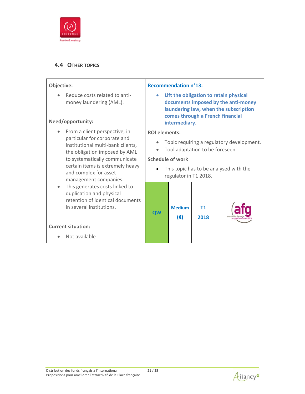

#### **4.4 OTHER TOPICS**

#### **Objective:**

● Reduce costs related to antimoney laundering (AML).

#### **Need/opportunity:**

**Current situation:**

• Not available

- From a client perspective, in particular for corporate and institutional multi‐bank clients, the obligation imposed by AML to systematically communicate certain items is extremely heavy and complex for asset management companies.
- This generates costs linked to duplication and physical retention of identical documents in several institutions.

#### **Recommendation n°13:**

 **Lift the obligation to retain physical documents imposed by the anti‐money laundering law, when the subscription comes through a French financial intermediary.**

#### **ROI elements:**

- Topic requiring a regulatory development.
- Tool adaptation to be foreseen.

#### **Schedule of work**

• This topic has to be analysed with the regulator in T1 2018.



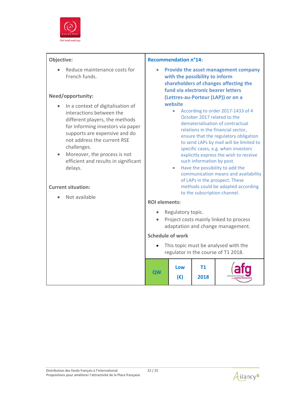

 Reduce maintenance costs for French funds.

#### **Need/opportunity:**

- In a context of digitalisation of interactions between the different players, the methods for informing investors via paper supports are expensive and do not address the current RSE challenges.
- Moreover, the process is not efficient and results in significant delays.

#### **Current situation:**

• Not available

#### **Recommendation n°14:**

- **Provide the asset management company with the possibility to inform shareholders of changes affecting the fund via electronic bearer letters (Lettres‐au‐Porteur (LAP)) or on a website**
	- According to order 2017-1433 of 4 October 2017 related to the dematerialisation of contractual relations in the financial sector, ensure that the regulatory obligation to send LAPs by mail will be limited to specific cases, e.g. when investors explicitly express the wish to receive such information by post.
	- Have the possibility to add the communication means and availability of LAPs in the prospect. These methods could be adapted according to the subscription channel.

#### **ROI elements:**

- Regulatory topic.
- Project costs mainly linked to process adaptation and change management.

#### **Schedule of work**

• This topic must be analysed with the regulator in the course of T1 2018.

|  |  | Low<br>(€) | 2018 |  |
|--|--|------------|------|--|
|--|--|------------|------|--|

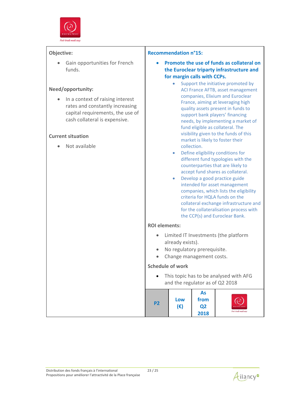

 Gain opportunities for French funds.

#### **Need/opportunity:**

• In a context of raising interest rates and constantly increasing capital requirements, the use of cash collateral is expensive.

#### **Current situation**

• Not available

#### **Recommendation n°15:**

- **Promote the use of funds as collateral on the Euroclear triparty infrastructure and for margin calls with CCPs.**
	- Support the initiative promoted by ACI France AFTB, asset management companies, Elixium and Euroclear France, aiming at leveraging high quality assets present in funds to support bank players' financing needs, by implementing a market of fund eligible as collateral. The visibility given to the funds of this market is likely to foster their collection.
	- Define eligibility conditions for different fund typologies with the counterparties that are likely to accept fund shares as collateral.
	- Develop a good practice guide intended for asset management companies, which lists the eligibility criteria for HQLA funds on the collateral exchange infrastructure and for the collateralisation process with the CCP(s) and Euroclear Bank.

#### **ROI elements:**

- Limited IT Investments (the platform already exists).
- No regulatory prerequisite.
- Change management costs.

#### **Schedule of work**

• This topic has to be analysed with AFG and the regulator as of Q2 2018 **P2 Low (€) As from Q2 2018**

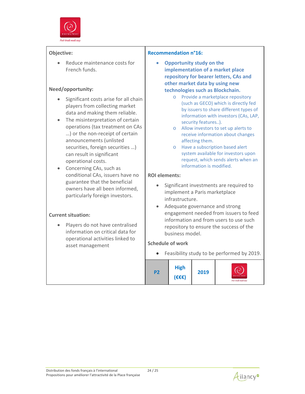

• Reduce maintenance costs for French funds.

#### **Need/opportunity:**

- Significant costs arise for all chain players from collecting market data and making them reliable.
- The misinterpretation of certain operations (tax treatment on CAs …) or the non‐receipt of certain announcements (unlisted securities, foreign securities …) can result in significant operational costs.
- Concerning CAs, such as conditional CAs, issuers have no guarantee that the beneficial owners have all been informed, particularly foreign investors.

#### **Current situation:**

• Players do not have centralised information on critical data for operational activities linked to asset management

#### **Recommendation n°16:**

- **Opportunity study on the implementation of a market place repository for bearer letters, CAs and other market data by using new technologies such as Blockchain.**
	- o Provide a marketplace repository (such as GECO) which is directly fed by issuers to share different types of information with investors (CAs, LAP, security features..).
	- o Allow investors to set up alerts to receive information about changes affecting them.
	- o Have a subscription based alert system available for investors upon request, which sends alerts when an information is modified.

#### **ROI elements:**

- Significant investments are required to implement a Paris marketplace infrastructure.
- Adequate governance and strong engagement needed from issuers to feed information and from users to use such repository to ensure the success of the business model.

#### **Schedule of work**

Feasibility study to be performed by 2019.

| <b>High</b><br>2019<br><b>P2</b><br>$(E \in E)$<br>Post-trude made easy |
|-------------------------------------------------------------------------|
|-------------------------------------------------------------------------|